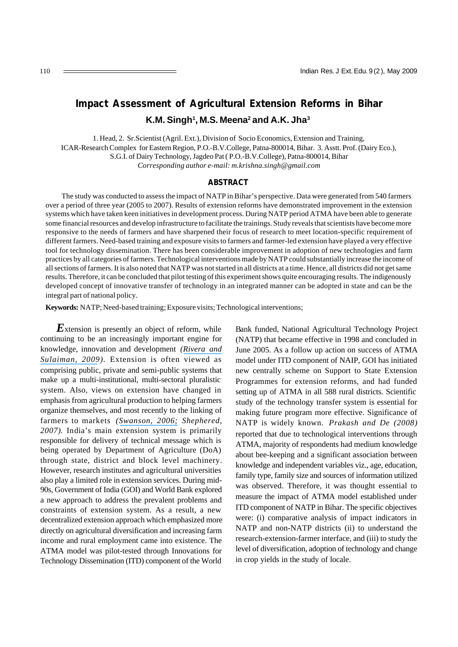# **Impact Assessment of Agricultural Extension Reforms in Bihar K.M. Singh<sup>1</sup> , M.S. Meena<sup>2</sup> and A.K. Jha<sup>3</sup>**

1. Head, 2. Sr.Scientist (Agril. Ext.), Division of Socio Economics, Extension and Training, ICAR-Research Complex for Eastern Region, P.O.-B.V.College, Patna-800014, Bihar. 3. Asstt. Prof. (Dairy Eco.), S.G.I. of Dairy Technology, Jagdeo Pat ( P.O.-B.V.College), Patna-800014, Bihar *Corresponding author e-mail: m.krishna.singh@gmail.com*

#### **ABSTRACT**

The study was conducted to assess the impact of NATP in Bihar's perspective. Data were generated from 540 farmers over a period of three year (2005 to 2007). Results of extension reforms have demonstrated improvement in the extension systems which have taken keen initiatives in development process. During NATP period ATMA have been able to generate some financial resources and develop infrastructure to facilitate the trainings. Study reveals that scientists have become more responsive to the needs of farmers and have sharpened their focus of research to meet location-specific requirement of different farmers. Need-based training and exposure visits to farmers and farmer-led extension have played a very effective tool for technology dissemination. There has been considerable improvement in adoption of new technologies and farm practices by all categories of farmers. Technological interventions made by NATP could substantially increase the income of all sections of farmers. It is also noted that NATP was not started in all districts at a time. Hence, all districts did not get same results. Therefore, it can be concluded that pilot testing of this experiment shows quite encouraging results. The indigenously developed concept of innovative transfer of technology in an integrated manner can be adopted in state and can be the integral part of national policy.

**Keywords:** NATP; Need-based training; Exposure visits; Technological interventions;

**Extension is presently an object of reform, while** continuing to be an increasingly important engine for knowledge, innovation and development *([Rivera and](https://www.researchgate.net/publication/233716778_Extension_Object_of_reform_engine_for_innovation?el=1_x_8&enrichId=rgreq-9b0398e9ed9a25b1b898dec970ded7b8-XXX&enrichSource=Y292ZXJQYWdlOzIzNTk2NzQ4NDtBUzoxMDE3OTA5MjIwNTE1ODhAMTQwMTI4MDI1NTQ1NQ==) [Sulaiman, 2009](https://www.researchgate.net/publication/233716778_Extension_Object_of_reform_engine_for_innovation?el=1_x_8&enrichId=rgreq-9b0398e9ed9a25b1b898dec970ded7b8-XXX&enrichSource=Y292ZXJQYWdlOzIzNTk2NzQ4NDtBUzoxMDE3OTA5MjIwNTE1ODhAMTQwMTI4MDI1NTQ1NQ==)).* Extension is often viewed as comprising public, private and semi-public systems that make up a multi-institutional, multi-sectoral pluralistic system. Also, views on extension have changed in emphasis from agricultural production to helping farmers organize themselves, and most recently to the linking of farmers to markets *([Swanson, 2006;](https://www.researchgate.net/publication/274770615_The_Changing_Role_of_Agricultural_Extension_in_a_Global_Economy?el=1_x_8&enrichId=rgreq-9b0398e9ed9a25b1b898dec970ded7b8-XXX&enrichSource=Y292ZXJQYWdlOzIzNTk2NzQ4NDtBUzoxMDE3OTA5MjIwNTE1ODhAMTQwMTI4MDI1NTQ1NQ==) Shephered, 2007)*. India's main extension system is primarily responsible for delivery of technical message which is being operated by Department of Agriculture (DoA) through state, district and block level machinery. However, research institutes and agricultural universities also play a limited role in extension services. During mid-90s, Government of India (GOI) and World Bank explored a new approach to address the prevalent problems and constraints of extension system. As a result, a new decentralized extension approach which emphasized more directly on agricultural diversification and increasing farm income and rural employment came into existence. The ATMA model was pilot-tested through Innovations for Technology Dissemination (ITD) component of the World

Bank funded, National Agricultural Technology Project (NATP) that became effective in 1998 and concluded in June 2005. As a follow up action on success of ATMA model under ITD component of NAIP, GOI has initiated new centrally scheme on Support to State Extension Programmes for extension reforms, and had funded setting up of ATMA in all 588 rural districts. Scientific study of the technology transfer system is essential for making future program more effective. Significance of NATP is widely known. *Prakash and De (2008)* reported that due to technological interventions through ATMA, majority of respondents had medium knowledge about bee-keeping and a significant association between knowledge and independent variables viz., age, education, family type, family size and sources of information utilized was observed. Therefore, it was thought essential to measure the impact of ATMA model established under ITD component of NATP in Bihar. The specific objectives were: (i) comparative analysis of impact indicators in NATP and non-NATP districts (ii) to understand the research-extension-farmer interface, and (iii) to study the level of diversification, adoption of technology and change in crop yields in the study of locale.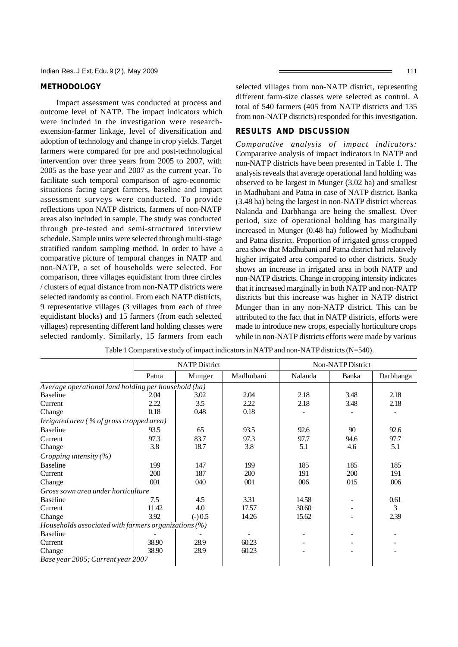### **METHODOLOGY**

Impact assessment was conducted at process and outcome level of NATP. The impact indicators which were included in the investigation were researchextension-farmer linkage, level of diversification and adoption of technology and change in crop yields. Target farmers were compared for pre and post-technological intervention over three years from 2005 to 2007, with 2005 as the base year and 2007 as the current year. To facilitate such temporal comparison of agro-economic situations facing target farmers, baseline and impact assessment surveys were conducted. To provide reflections upon NATP districts, farmers of non-NATP areas also included in sample. The study was conducted through pre-tested and semi-structured interview schedule. Sample units were selected through multi-stage stratified random sampling method. In order to have a comparative picture of temporal changes in NATP and non-NATP, a set of households were selected. For comparison, three villages equidistant from three circles / clusters of equal distance from non-NATP districts were selected randomly as control. From each NATP districts, 9 representative villages (3 villages from each of three equidistant blocks) and 15 farmers (from each selected villages) representing different land holding classes were selected randomly. Similarly, 15 farmers from each selected villages from non-NATP district, representing different farm-size classes were selected as control. A total of 540 farmers (405 from NATP districts and 135 from non-NATP districts) responded for this investigation.

#### **RESULTS AND DISCUSSION**

*Comparative analysis of impact indicators:* Comparative analysis of impact indicators in NATP and non-NATP districts have been presented in Table 1. The analysis reveals that average operational land holding was observed to be largest in Munger (3.02 ha) and smallest in Madhubani and Patna in case of NATP district. Banka (3.48 ha) being the largest in non-NATP district whereas Nalanda and Darbhanga are being the smallest. Over period, size of operational holding has marginally increased in Munger (0.48 ha) followed by Madhubani and Patna district. Proportion of irrigated gross cropped area show that Madhubani and Patna district had relatively higher irrigated area compared to other districts. Study shows an increase in irrigated area in both NATP and non-NATP districts. Change in cropping intensity indicates that it increased marginally in both NATP and non-NATP districts but this increase was higher in NATP district Munger than in any non-NATP district. This can be attributed to the fact that in NATP districts, efforts were made to introduce new crops, especially horticulture crops while in non-NATP districts efforts were made by various

|                                                         | <b>NATP District</b> |          |           | Non-NATP District |              |           |  |
|---------------------------------------------------------|----------------------|----------|-----------|-------------------|--------------|-----------|--|
|                                                         | Patna                | Munger   | Madhubani | Nalanda           | <b>Banka</b> | Darbhanga |  |
| Average operational land holding per household (ha)     |                      |          |           |                   |              |           |  |
| <b>Baseline</b>                                         | 2.04                 | 3.02     | 2.04      | 2.18              | 3.48         | 2.18      |  |
| Current                                                 | 2.22                 | 3.5      | 2.22      | 2.18              | 3.48         | 2.18      |  |
| Change                                                  | 0.18                 | 0.48     | 0.18      |                   |              |           |  |
| Irrigated area (% of gross cropped area)                |                      |          |           |                   |              |           |  |
| <b>Baseline</b>                                         | 93.5                 | 65       | 93.5      | 92.6              | 90           | 92.6      |  |
| Current                                                 | 97.3                 | 83.7     | 97.3      | 97.7              | 94.6         | 97.7      |  |
| Change                                                  | 3.8                  | 18.7     | 3.8       | 5.1               | 4.6          | 5.1       |  |
| Cropping intensity $(\%)$                               |                      |          |           |                   |              |           |  |
| <b>Baseline</b>                                         | 199                  | 147      | 199       | 185               | 185          | 185       |  |
| Current                                                 | 200                  | 187      | 200       | 191               | 200          | 191       |  |
| Change                                                  | 001                  | 040      | 001       | 006               | 015          | 006       |  |
| Gross sown area under horticulture                      |                      |          |           |                   |              |           |  |
| <b>Baseline</b>                                         | 7.5                  | 4.5      | 3.31      | 14.58             |              | 0.61      |  |
| Current                                                 | 11.42                | 4.0      | 17.57     | 30.60             |              | 3         |  |
| Change                                                  | 3.92                 | $(-)0.5$ | 14.26     | 15.62             |              | 2.39      |  |
| Households associated with farmers organizations $(\%)$ |                      |          |           |                   |              |           |  |
| <b>Baseline</b>                                         |                      |          |           |                   |              |           |  |
| Current                                                 | 38.90                | 28.9     | 60.23     |                   |              |           |  |
| Change                                                  | 38.90                | 28.9     | 60.23     |                   |              |           |  |
| Base year 2005; Current year 2007                       |                      |          |           |                   |              |           |  |

Table 1 Comparative study of impact indicators in NATP and non-NATP districts (N=540).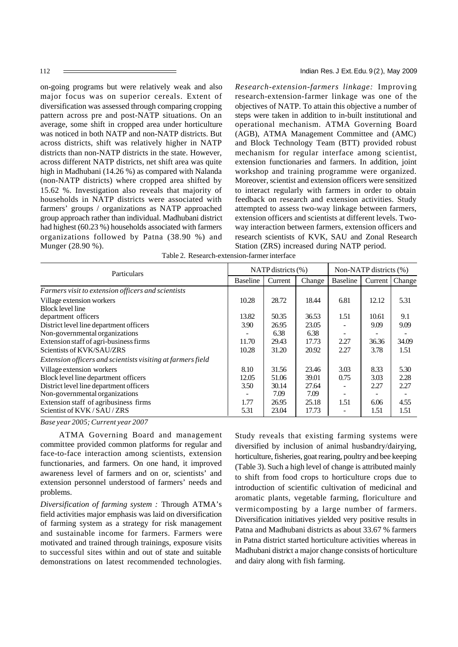on-going programs but were relatively weak and also major focus was on superior cereals. Extent of diversification was assessed through comparing cropping pattern across pre and post-NATP situations. On an average, some shift in cropped area under horticulture was noticed in both NATP and non-NATP districts. But across districts, shift was relatively higher in NATP districts than non-NATP districts in the state. However, across different NATP districts, net shift area was quite high in Madhubani (14.26 %) as compared with Nalanda (non-NATP districts) where cropped area shifted by 15.62 %. Investigation also reveals that majority of households in NATP districts were associated with farmers' groups / organizations as NATP approached group approach rather than individual. Madhubani district had highest (60.23 %) households associated with farmers organizations followed by Patna (38.90 %) and Munger (28.90 %).

*Research-extension-farmers linkage:* Improving research-extension-farmer linkage was one of the objectives of NATP. To attain this objective a number of steps were taken in addition to in-built institutional and operational mechanism. ATMA Governing Board (AGB), ATMA Management Committee and (AMC) and Block Technology Team (BTT) provided robust mechanism for regular interface among scientist, extension functionaries and farmers. In addition, joint workshop and training programme were organized. Moreover, scientist and extension officers were sensitized to interact regularly with farmers in order to obtain feedback on research and extension activities. Study attempted to assess two-way linkage between farmers, extension officers and scientists at different levels. Twoway interaction between farmers, extension officers and research scientists of KVK, SAU and Zonal Research Station (ZRS) increased during NATP period.

| Particulars                                                 |                 | NATP districts $(\% )$ |        | Non-NATP districts (%) |       |                  |
|-------------------------------------------------------------|-----------------|------------------------|--------|------------------------|-------|------------------|
|                                                             | <b>Baseline</b> | Current                | Change | <b>Baseline</b>        |       | Current   Change |
| Farmers visit to extension officers and scientists          |                 |                        |        |                        |       |                  |
| Village extension workers                                   | 10.28           | 28.72                  | 18.44  | 6.81                   | 12.12 | 5.31             |
| <b>Block level line</b>                                     |                 |                        |        |                        |       |                  |
| department officers                                         | 13.82           | 50.35                  | 36.53  | 1.51                   | 10.61 | 9.1              |
| District level line department officers                     | 3.90            | 26.95                  | 23.05  |                        | 9.09  | 9.09             |
| Non-governmental organizations                              |                 | 6.38                   | 6.38   |                        |       |                  |
| Extension staff of agri-business firms                      | 11.70           | 29.43                  | 17.73  | 2.27                   | 36.36 | 34.09            |
| Scientists of KVK/SAU/ZRS                                   | 10.28           | 31.20                  | 20.92  | 2.27                   | 3.78  | 1.51             |
| Extension officers and scientists visiting at farmers field |                 |                        |        |                        |       |                  |
| Village extension workers                                   | 8.10            | 31.56                  | 23.46  | 3.03                   | 8.33  | 5.30             |
| Block level line department officers                        | 12.05           | 51.06                  | 39.01  | 0.75                   | 3.03  | 2.28             |
| District level line department officers                     | 3.50            | 30.14                  | 27.64  |                        | 2.27  | 2.27             |
| Non-governmental organizations                              |                 | 7.09                   | 7.09   |                        |       |                  |
| Extension staff of agribusiness firms                       | 1.77            | 26.95                  | 25.18  | 1.51                   | 6.06  | 4.55             |
| Scientist of KVK/SAU/ZRS                                    | 5.31            | 23.04                  | 17.73  |                        | 1.51  | 1.51             |

Table 2. Research-extension-farmer interface

*Base year 2005; Current year 2007*

 ATMA Governing Board and management committee provided common platforms for regular and face-to-face interaction among scientists, extension functionaries, and farmers. On one hand, it improved awareness level of farmers and on or, scientists' and extension personnel understood of farmers' needs and problems.

*Diversification of farming system :* Through ATMA's field activities major emphasis was laid on diversification of farming system as a strategy for risk management and sustainable income for farmers. Farmers were motivated and trained through trainings, exposure visits to successful sites within and out of state and suitable demonstrations on latest recommended technologies.

Study reveals that existing farming systems were diversified by inclusion of animal husbandry/dairying, horticulture, fisheries, goat rearing, poultry and bee keeping (Table 3). Such a high level of change is attributed mainly to shift from food crops to horticulture crops due to introduction of scientific cultivation of medicinal and aromatic plants, vegetable farming, floriculture and vermicomposting by a large number of farmers. Diversification initiatives yielded very positive results in Patna and Madhubani districts as about 33.67 % farmers in Patna district started horticulture activities whereas in Madhubani district a major change consists of horticulture and dairy along with fish farming.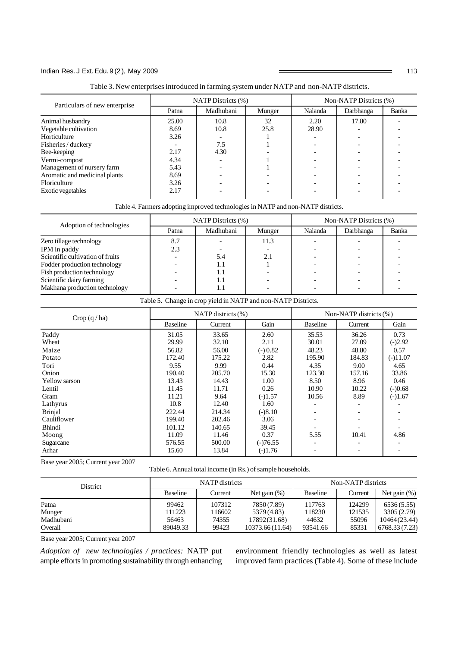## Indian Res. J Ext. Edu. 9(2), May 2009 113

| Table 3. New enterprises introduced in farming system under NATP and non-NATP districts. |  |  |  |  |  |  |  |  |
|------------------------------------------------------------------------------------------|--|--|--|--|--|--|--|--|
|------------------------------------------------------------------------------------------|--|--|--|--|--|--|--|--|

| Particulars of new enterprise                               |               | NATP Districts (%) |            | Non-NATP Districts (%) |           |       |  |
|-------------------------------------------------------------|---------------|--------------------|------------|------------------------|-----------|-------|--|
|                                                             | Patna         | Madhubani          | Munger     | Nalanda                | Darbhanga | Banka |  |
| Animal husbandry                                            | 25.00<br>8.69 | 10.8<br>10.8       | 32<br>25.8 | 2.20<br>28.90          | 17.80     |       |  |
| Vegetable cultivation<br>Horticulture                       | 3.26          |                    |            |                        |           |       |  |
| Fisheries / duckery<br>Bee-keeping                          | 2.17          | 7.5<br>4.30        |            |                        |           |       |  |
| Vermi-compost                                               | 4.34          |                    |            |                        |           |       |  |
| Management of nursery farm<br>Aromatic and medicinal plants | 5.43<br>8.69  |                    |            |                        |           |       |  |
| Floriculture                                                | 3.26          |                    |            |                        |           |       |  |
| Exotic vegetables                                           | 2.17          |                    |            |                        |           |       |  |

#### Table 4. Farmers adopting improved technologies in NATP and non-NATP districts.

| Adoption of technologies         |       | NATP Distributions (%) |        | Non-NATP Districts (%) |           |       |
|----------------------------------|-------|------------------------|--------|------------------------|-----------|-------|
|                                  | Patna | Madhubani              | Munger | Nalanda                | Darbhanga | Banka |
| Zero tillage technology          | 8.7   |                        | 11.3   |                        |           |       |
| IPM in paddy                     | 2.3   |                        |        |                        |           |       |
| Scientific cultivation of fruits |       | 5.4                    | 2.1    |                        |           |       |
| Fodder production technology     |       | 1.1                    |        |                        |           |       |
| Fish production technology       |       | 1.1                    |        |                        |           |       |
| Scientific dairy farming         |       | IJ                     |        |                        |           |       |
| Makhana production technology    |       |                        |        |                        |           |       |

Table 5. Change in crop yield in NATP and non-NATP Districts.

| Crop $(q/ha)$        |                 | NATP districts $(\% )$ |            | Non-NATP districts (%)   |         |            |
|----------------------|-----------------|------------------------|------------|--------------------------|---------|------------|
|                      | <b>Baseline</b> | Current                | Gain       | <b>Baseline</b>          | Current | Gain       |
| Paddy                | 31.05           | 33.65                  | 2.60       | 35.53                    | 36.26   | 0.73       |
| Wheat                | 29.99           | 32.10                  | 2.11       | 30.01                    | 27.09   | $(-)2.92$  |
| Maize                | 56.82           | 56.00                  | $(-) 0.82$ | 48.23                    | 48.80   | 0.57       |
| Potato               | 172.40          | 175.22                 | 2.82       | 195.90                   | 184.83  | $(-)11.07$ |
| Tori                 | 9.55            | 9.99                   | 0.44       | 4.35                     | 9.00    | 4.65       |
| Onion                | 190.40          | 205.70                 | 15.30      | 123.30                   | 157.16  | 33.86      |
| <b>Yellow</b> sarson | 13.43           | 14.43                  | 1.00       | 8.50                     | 8.96    | 0.46       |
| Lentil               | 11.45           | 11.71                  | 0.26       | 10.90                    | 10.22   | $(-)0.68$  |
| Gram                 | 11.21           | 9.64                   | $(-)1.57$  | 10.56                    | 8.89    | $(-)1.67$  |
| Lathyrus             | 10.8            | 12.40                  | 1.60       |                          |         |            |
| <b>Brinjal</b>       | 222.44          | 214.34                 | $(-)8.10$  |                          |         |            |
| Cauliflower          | 199.40          | 202.46                 | 3.06       |                          |         |            |
| Bhindi               | 101.12          | 140.65                 | 39.45      |                          |         |            |
| Moong                | 11.09           | 11.46                  | 0.37       | 5.55                     | 10.41   | 4.86       |
| Sugarcane            | 576.55          | 500.00                 | $(-)76.55$ |                          |         |            |
| Arhar                | 15.60           | 13.84                  | $(-)1.76$  | $\overline{\phantom{a}}$ |         |            |

Base year 2005; Current year 2007

Table 6. Annual total income (in Rs.) of sample households.

| District  |          | NATP districts |                 | Non-NATP districts |         |                 |  |
|-----------|----------|----------------|-----------------|--------------------|---------|-----------------|--|
|           | Baseline | Current        | Net gain $(\%)$ | Baseline           | Current | Net gain $(\%)$ |  |
| Patna     | 99462    | 107312         | 7850 (7.89)     | 117763             | 124299  | 6536(5.55)      |  |
| Munger    | 111223   | 116602         | 5379 (4.83)     | 118230             | 121535  | 3305 (2.79)     |  |
| Madhubani | 56463    | 74355          | 17892(31.68)    | 44632              | 55096   | 10464(23.44)    |  |
| Overall   | 89049.33 | 99423          | 10373.66(11.64) | 93541.66           | 85331   | 6768.33 (7.23)  |  |

Base year 2005; Current year 2007

*Adoption of new technologies / practices:* NATP put ample efforts in promoting sustainability through enhancing environment friendly technologies as well as latest improved farm practices (Table 4). Some of these include